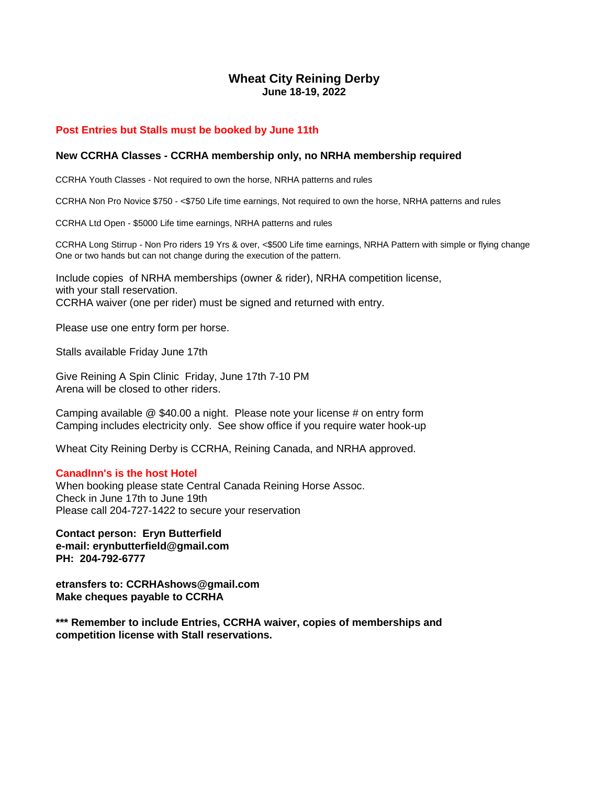# **Wheat City Reining Derby June 18-19, 2022**

## **Post Entries but Stalls must be booked by June 11th**

#### **New CCRHA Classes - CCRHA membership only, no NRHA membership required**

CCRHA Youth Classes - Not required to own the horse, NRHA patterns and rules

CCRHA Non Pro Novice \$750 - <\$750 Life time earnings, Not required to own the horse, NRHA patterns and rules

CCRHA Ltd Open - \$5000 Life time earnings, NRHA patterns and rules

CCRHA Long Stirrup - Non Pro riders 19 Yrs & over, <\$500 Life time earnings, NRHA Pattern with simple or flying change One or two hands but can not change during the execution of the pattern.

Include copies of NRHA memberships (owner & rider), NRHA competition license, with your stall reservation. CCRHA waiver (one per rider) must be signed and returned with entry.

Please use one entry form per horse.

Stalls available Friday June 17th

Give Reining A Spin Clinic Friday, June 17th 7-10 PM Arena will be closed to other riders.

Camping available @ \$40.00 a night. Please note your license # on entry form Camping includes electricity only. See show office if you require water hook-up

Wheat City Reining Derby is CCRHA, Reining Canada, and NRHA approved.

#### **CanadInn's is the host Hotel**

When booking please state Central Canada Reining Horse Assoc. Check in June 17th to June 19th Please call 204-727-1422 to secure your reservation

**Contact person: Eryn Butterfield e-mail: erynbutterfield@gmail.com PH: 204-792-6777**

**etransfers to: CCRHAshows@gmail.com Make cheques payable to CCRHA**

**\*\*\* Remember to include Entries, CCRHA waiver, copies of memberships and competition license with Stall reservations.**